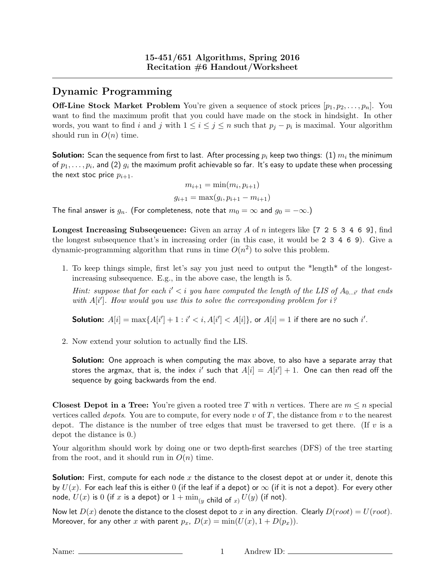## Dynamic Programming

**Off-Line Stock Market Problem** You're given a sequence of stock prices  $[p_1, p_2, \ldots, p_n]$ . You want to find the maximum profit that you could have made on the stock in hindsight. In other words, you want to find i and j with  $1 \leq i \leq j \leq n$  such that  $p_j - p_i$  is maximal. Your algorithm should run in  $O(n)$  time.

**Solution:** Scan the sequence from first to last. After processing  $p_i$  keep two things: (1)  $m_i$  the minimum of  $p_1,\ldots,p_i$ , and (2)  $g_i$  the maximum profit achievable so far. It's easy to update these when processing the next stoc price  $p_{i+1}$ .

$$
m_{i+1} = \min(m_i, p_{i+1})
$$

$$
g_{i+1} = \max(g_i, p_{i+1} - m_{i+1})
$$

The final answer is  $g_n$ . (For completeness, note that  $m_0 = \infty$  and  $g_0 = -\infty$ .)

**Longest Increasing Subsequence:** Given an array A of n integers like [7 2 5 3 4 6 9], find the longest subsequence that's in increasing order (in this case, it would be 2 3 4 6 9). Give a dynamic-programming algorithm that runs in time  $O(n^2)$  to solve this problem.

1. To keep things simple, first let's say you just need to output the \*length\* of the longestincreasing subsequence. E.g., in the above case, the length is 5.

Hint: suppose that for each  $i' < i$  you have computed the length of the LIS of  $A_{0...i'}$  that ends with  $A[i']$ . How would you use this to solve the corresponding problem for  $i$ ?

**Solution:**  $A[i] = \max\{A[i'] + 1 : i' < i, A[i'] < A[i]\}$ , or  $A[i] = 1$  if there are no such i'.

2. Now extend your solution to actually find the LIS.

Solution: One approach is when computing the max above, to also have a separate array that stores the argmax, that is, the index  $i'$  such that  $A[i] = A[i'] + 1$ . One can then read off the sequence by going backwards from the end.

**Closest Depot in a Tree:** You're given a rooted tree T with n vertices. There are  $m \leq n$  special vertices called *depots*. You are to compute, for every node v of T, the distance from v to the nearest depot. The distance is the number of tree edges that must be traversed to get there. (If  $v$  is a depot the distance is 0.)

Your algorithm should work by doing one or two depth-first searches (DFS) of the tree starting from the root, and it should run in  $O(n)$  time.

**Solution:** First, compute for each node x the distance to the closest depot at or under it, denote this by  $U(x)$ . For each leaf this is either 0 (if the leaf if a depot) or  $\infty$  (if it is not a depot). For every other node,  $U(x)$  is  $0$  (if  $x$  is a depot) or  $1+\min_{(y\text{ child of }x)}U(y)$  (if not).

Now let  $D(x)$  denote the distance to the closest depot to x in any direction. Clearly  $D(root) = U(root)$ . Moreover, for any other x with parent  $p_x$ ,  $D(x) = min(U(x), 1 + D(p_x)).$